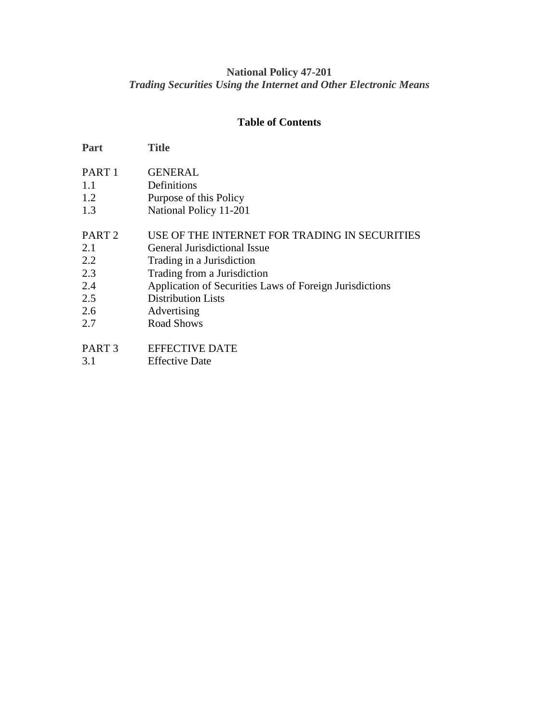## **National Policy 47-201** *Trading Securities Using the Internet and Other Electronic Means*

# **Table of Contents**

| <b>Title</b>                                            |
|---------------------------------------------------------|
| <b>GENERAL</b>                                          |
| Definitions                                             |
| Purpose of this Policy                                  |
| National Policy 11-201                                  |
| USE OF THE INTERNET FOR TRADING IN SECURITIES           |
| General Jurisdictional Issue                            |
| Trading in a Jurisdiction                               |
| Trading from a Jurisdiction                             |
| Application of Securities Laws of Foreign Jurisdictions |
| <b>Distribution Lists</b>                               |
| Advertising                                             |
| <b>Road Shows</b>                                       |
| <b>EFFECTIVE DATE</b>                                   |
| <b>Effective Date</b>                                   |
|                                                         |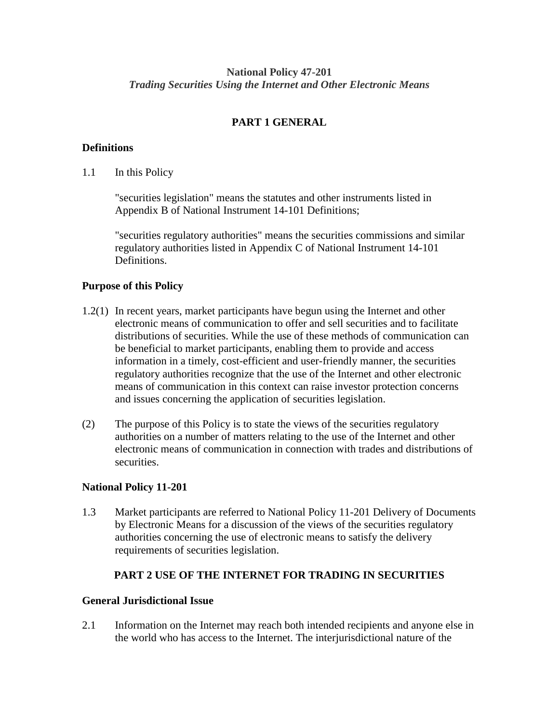### **National Policy 47-201** *Trading Securities Using the Internet and Other Electronic Means*

# **PART 1 GENERAL**

#### **Definitions**

1.1 In this Policy

"securities legislation" means the statutes and other instruments listed in Appendix B of National Instrument 14-101 Definitions;

"securities regulatory authorities" means the securities commissions and similar regulatory authorities listed in Appendix C of National Instrument 14-101 Definitions.

#### **Purpose of this Policy**

- 1.2(1) In recent years, market participants have begun using the Internet and other electronic means of communication to offer and sell securities and to facilitate distributions of securities. While the use of these methods of communication can be beneficial to market participants, enabling them to provide and access information in a timely, cost-efficient and user-friendly manner, the securities regulatory authorities recognize that the use of the Internet and other electronic means of communication in this context can raise investor protection concerns and issues concerning the application of securities legislation.
- (2) The purpose of this Policy is to state the views of the securities regulatory authorities on a number of matters relating to the use of the Internet and other electronic means of communication in connection with trades and distributions of securities.

#### **National Policy 11-201**

1.3 Market participants are referred to National Policy 11-201 Delivery of Documents by Electronic Means for a discussion of the views of the securities regulatory authorities concerning the use of electronic means to satisfy the delivery requirements of securities legislation.

#### **PART 2 USE OF THE INTERNET FOR TRADING IN SECURITIES**

#### **General Jurisdictional Issue**

2.1 Information on the Internet may reach both intended recipients and anyone else in the world who has access to the Internet. The interjurisdictional nature of the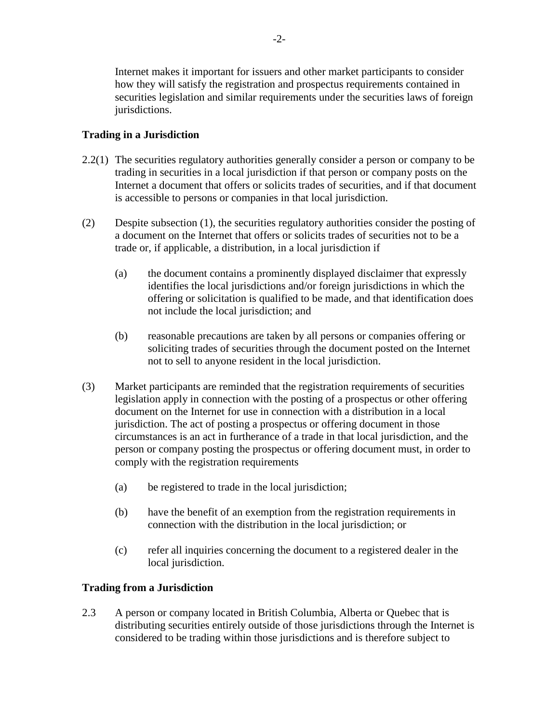Internet makes it important for issuers and other market participants to consider how they will satisfy the registration and prospectus requirements contained in securities legislation and similar requirements under the securities laws of foreign jurisdictions.

# **Trading in a Jurisdiction**

- 2.2(1) The securities regulatory authorities generally consider a person or company to be trading in securities in a local jurisdiction if that person or company posts on the Internet a document that offers or solicits trades of securities, and if that document is accessible to persons or companies in that local jurisdiction.
- (2) Despite subsection (1), the securities regulatory authorities consider the posting of a document on the Internet that offers or solicits trades of securities not to be a trade or, if applicable, a distribution, in a local jurisdiction if
	- (a) the document contains a prominently displayed disclaimer that expressly identifies the local jurisdictions and/or foreign jurisdictions in which the offering or solicitation is qualified to be made, and that identification does not include the local jurisdiction; and
	- (b) reasonable precautions are taken by all persons or companies offering or soliciting trades of securities through the document posted on the Internet not to sell to anyone resident in the local jurisdiction.
- (3) Market participants are reminded that the registration requirements of securities legislation apply in connection with the posting of a prospectus or other offering document on the Internet for use in connection with a distribution in a local jurisdiction. The act of posting a prospectus or offering document in those circumstances is an act in furtherance of a trade in that local jurisdiction, and the person or company posting the prospectus or offering document must, in order to comply with the registration requirements
	- (a) be registered to trade in the local jurisdiction;
	- (b) have the benefit of an exemption from the registration requirements in connection with the distribution in the local jurisdiction; or
	- (c) refer all inquiries concerning the document to a registered dealer in the local jurisdiction.

## **Trading from a Jurisdiction**

2.3 A person or company located in British Columbia, Alberta or Quebec that is distributing securities entirely outside of those jurisdictions through the Internet is considered to be trading within those jurisdictions and is therefore subject to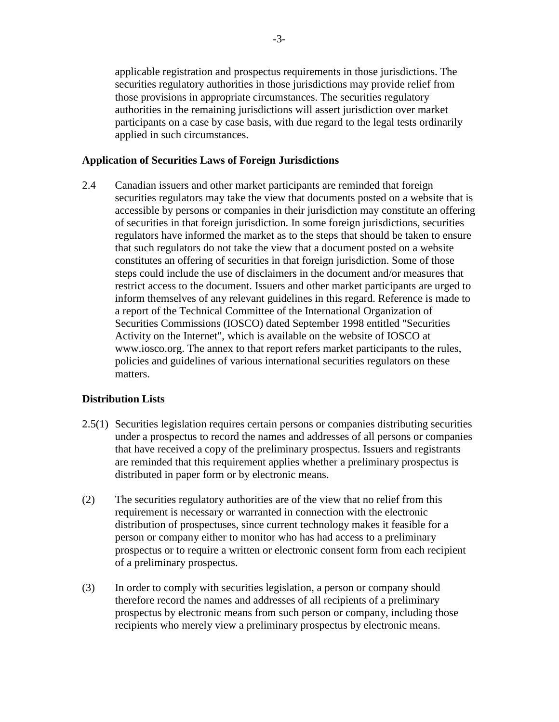applicable registration and prospectus requirements in those jurisdictions. The securities regulatory authorities in those jurisdictions may provide relief from those provisions in appropriate circumstances. The securities regulatory authorities in the remaining jurisdictions will assert jurisdiction over market participants on a case by case basis, with due regard to the legal tests ordinarily applied in such circumstances.

#### **Application of Securities Laws of Foreign Jurisdictions**

2.4 Canadian issuers and other market participants are reminded that foreign securities regulators may take the view that documents posted on a website that is accessible by persons or companies in their jurisdiction may constitute an offering of securities in that foreign jurisdiction. In some foreign jurisdictions, securities regulators have informed the market as to the steps that should be taken to ensure that such regulators do not take the view that a document posted on a website constitutes an offering of securities in that foreign jurisdiction. Some of those steps could include the use of disclaimers in the document and/or measures that restrict access to the document. Issuers and other market participants are urged to inform themselves of any relevant guidelines in this regard. Reference is made to a report of the Technical Committee of the International Organization of Securities Commissions (IOSCO) dated September 1998 entitled "Securities Activity on the Internet", which is available on the website of IOSCO at www.iosco.org. The annex to that report refers market participants to the rules, policies and guidelines of various international securities regulators on these matters.

## **Distribution Lists**

- 2.5(1) Securities legislation requires certain persons or companies distributing securities under a prospectus to record the names and addresses of all persons or companies that have received a copy of the preliminary prospectus. Issuers and registrants are reminded that this requirement applies whether a preliminary prospectus is distributed in paper form or by electronic means.
- (2) The securities regulatory authorities are of the view that no relief from this requirement is necessary or warranted in connection with the electronic distribution of prospectuses, since current technology makes it feasible for a person or company either to monitor who has had access to a preliminary prospectus or to require a written or electronic consent form from each recipient of a preliminary prospectus.
- (3) In order to comply with securities legislation, a person or company should therefore record the names and addresses of all recipients of a preliminary prospectus by electronic means from such person or company, including those recipients who merely view a preliminary prospectus by electronic means.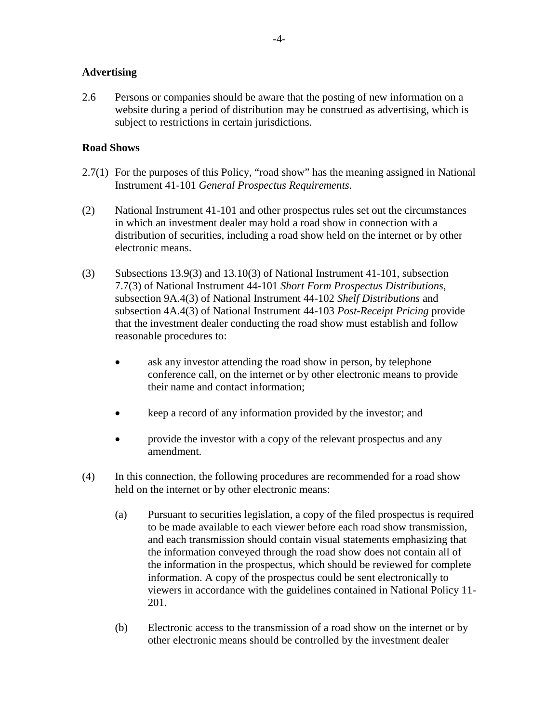#### **Advertising**

2.6 Persons or companies should be aware that the posting of new information on a website during a period of distribution may be construed as advertising, which is subject to restrictions in certain jurisdictions.

### **Road Shows**

- 2.7(1) For the purposes of this Policy, "road show" has the meaning assigned in National Instrument 41-101 *General Prospectus Requirements*.
- (2) National Instrument 41-101 and other prospectus rules set out the circumstances in which an investment dealer may hold a road show in connection with a distribution of securities, including a road show held on the internet or by other electronic means.
- (3) Subsections 13.9(3) and 13.10(3) of National Instrument 41-101, subsection 7.7(3) of National Instrument 44-101 *Short Form Prospectus Distributions*, subsection 9A.4(3) of National Instrument 44-102 *Shelf Distributions* and subsection 4A.4(3) of National Instrument 44-103 *Post-Receipt Pricing* provide that the investment dealer conducting the road show must establish and follow reasonable procedures to:
	- ask any investor attending the road show in person, by telephone conference call, on the internet or by other electronic means to provide their name and contact information;
	- keep a record of any information provided by the investor; and
	- provide the investor with a copy of the relevant prospectus and any amendment.
- (4) In this connection, the following procedures are recommended for a road show held on the internet or by other electronic means:
	- (a) Pursuant to securities legislation, a copy of the filed prospectus is required to be made available to each viewer before each road show transmission, and each transmission should contain visual statements emphasizing that the information conveyed through the road show does not contain all of the information in the prospectus, which should be reviewed for complete information. A copy of the prospectus could be sent electronically to viewers in accordance with the guidelines contained in National Policy 11- 201.
	- (b) Electronic access to the transmission of a road show on the internet or by other electronic means should be controlled by the investment dealer